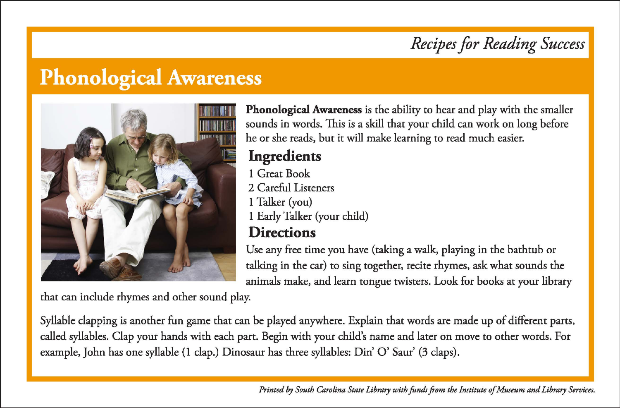# *Recipes for Reading Success*

# **Phonological Awareness**



**Phonological Awareness** is the ability to hear and play with the smaller sounds in words. This is a skill that your child can work on long before he or she reads, but it will make learning to read much easier.

## **Ingredients**

- 1 Great Book
- 2 Careful Listeners
- 1 Talker (you)
- 1 Early Talker (your child)

## **Directions**

Use any free time you have (taking a walk, playing in the bathtub or talking in the car) to sing together, recite rhymes, ask what sounds the animals make, and learn tongue twisters. Look for books at your library

that can include rhymes and other sound play.

Syllable clapping is another fun game that can be played anywhere. Explain that words are made up of different parts, called syllables. Clap your hands with each part. Begin with your child's name and later on move to other words. For example, John has one syllable (I clap.) Dinosaur has three syllables: Din' 0' Saur' (3 claps).